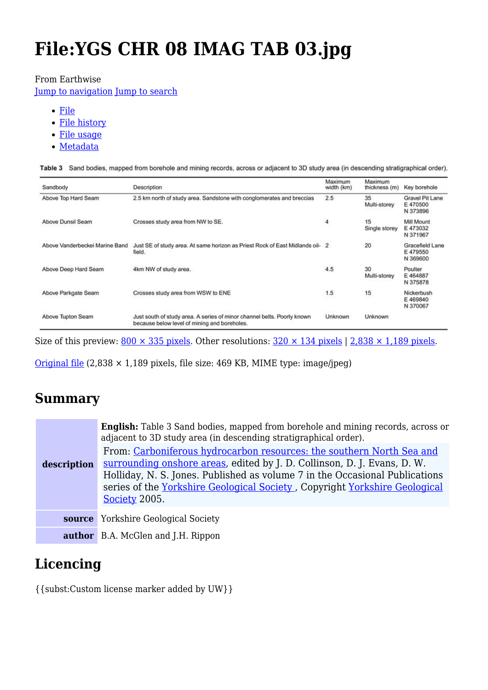# **File:YGS CHR 08 IMAG TAB 03.jpg**

#### From Earthwise

[Jump to navigation](#page--1-0) [Jump to search](#page--1-0)

- [File](#page--1-0)
- [File history](#page--1-0)
- [File usage](#page--1-0)
- [Metadata](#page--1-0)

| Sandbody                       | Description                                                                                                             | Maximum<br>width (km) | Maximum<br>thickness (m) | Key borehole                           |
|--------------------------------|-------------------------------------------------------------------------------------------------------------------------|-----------------------|--------------------------|----------------------------------------|
| Above Top Hard Seam            | 2.5 km north of study area. Sandstone with conglomerates and breccias                                                   | 2.5                   | 35<br>Multi-storey       | Gravel Pit Lane<br>E470500<br>N 373896 |
| Above Dunsil Seam              | Crosses study area from NW to SE.                                                                                       | 4                     | 15<br>Single storey      | Mill Mount<br>E473032<br>N 371967      |
| Above Vanderbeckei Marine Band | Just SE of study area. At same horizon as Priest Rock of East Midlands oil- 2<br>field.                                 |                       | 20                       | Gracefield Lane<br>E479550<br>N 369600 |
| Above Deep Hard Seam           | 4km NW of study area.                                                                                                   | 4.5                   | 30<br>Multi-storev       | Poulter<br>E464887<br>N 375878         |
| Above Parkgate Seam            | Crosses study area from WSW to ENE                                                                                      | 1.5                   | 15                       | Nickerbush<br>E469840<br>N 370067      |
| Above Tupton Seam              | Just south of study area. A series of minor channel belts. Poorly known<br>because below level of mining and boreholes. | Unknown               | Unknown                  |                                        |

Table 3 Sand bodies, mapped from borehole and mining records, across or adjacent to 3D study area (in descending stratigraphical order).

Size of this preview:  $800 \times 335$  pixels. Other resolutions:  $320 \times 134$  pixels | 2,838  $\times$  1,189 pixels.

[Original file](http://earthwise.bgs.ac.uk/images/e/e2/YGS_CHR_08_IMAG_TAB_03.jpg)  $(2,838 \times 1,189$  pixels, file size: 469 KB, MIME type: image/jpeg)

# **Summary**

| description | English: Table 3 Sand bodies, mapped from borehole and mining records, across or<br>adjacent to 3D study area (in descending stratigraphical order).<br>From: Carboniferous hydrocarbon resources: the southern North Sea and<br>surrounding onshore areas, edited by J. D. Collinson, D. J. Evans, D. W.<br>Holliday, N. S. Jones. Published as volume 7 in the Occasional Publications<br>series of the Yorkshire Geological Society, Copyright Yorkshire Geological<br>Society 2005. |
|-------------|-----------------------------------------------------------------------------------------------------------------------------------------------------------------------------------------------------------------------------------------------------------------------------------------------------------------------------------------------------------------------------------------------------------------------------------------------------------------------------------------|
|             | <b>source</b> Yorkshire Geological Society                                                                                                                                                                                                                                                                                                                                                                                                                                              |
|             | <b>author</b> B.A. McGlen and J.H. Rippon                                                                                                                                                                                                                                                                                                                                                                                                                                               |

# **Licencing**

{{subst:Custom license marker added by UW}}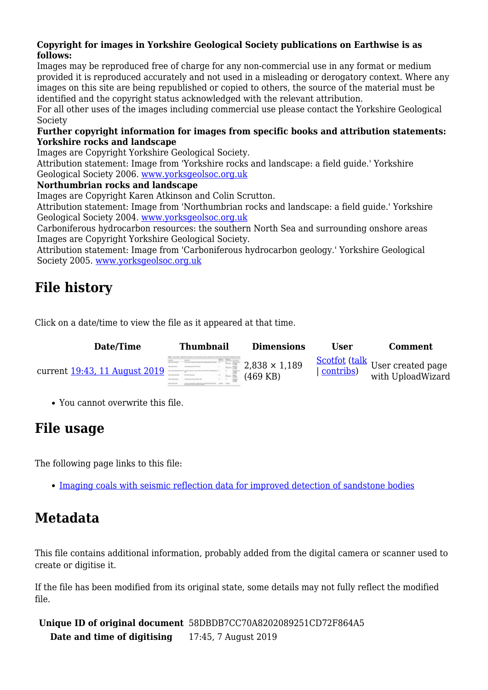#### **Copyright for images in Yorkshire Geological Society publications on Earthwise is as follows:**

Images may be reproduced free of charge for any non-commercial use in any format or medium provided it is reproduced accurately and not used in a misleading or derogatory context. Where any images on this site are being republished or copied to others, the source of the material must be identified and the copyright status acknowledged with the relevant attribution.

For all other uses of the images including commercial use please contact the Yorkshire Geological Society

#### **Further copyright information for images from specific books and attribution statements: Yorkshire rocks and landscape**

Images are Copyright Yorkshire Geological Society.

Attribution statement: Image from 'Yorkshire rocks and landscape: a field guide.' Yorkshire Geological Society 2006. [www.yorksgeolsoc.org.uk](http://www.yorksgeolsoc.org.uk)

#### **Northumbrian rocks and landscape**

Images are Copyright Karen Atkinson and Colin Scrutton.

Attribution statement: Image from 'Northumbrian rocks and landscape: a field guide.' Yorkshire Geological Society 2004. [www.yorksgeolsoc.org.uk](http://www.yorksgeolsoc.org.uk)

Carboniferous hydrocarbon resources: the southern North Sea and surrounding onshore areas Images are Copyright Yorkshire Geological Society.

Attribution statement: Image from 'Carboniferous hydrocarbon geology.' Yorkshire Geological Society 2005. [www.yorksgeolsoc.org.uk](http://www.yorksgeolsoc.org.uk)

# **File history**

Click on a date/time to view the file as it appeared at that time.

| <b>Date/Time</b>              | <b>Thumbnail</b> | <b>Dimensions</b>                  | User | <b>Comment</b>                                                                                |
|-------------------------------|------------------|------------------------------------|------|-----------------------------------------------------------------------------------------------|
| current 19:43, 11 August 2019 |                  | $2,838 \times 1,189$<br>$(469$ KB) |      | $\frac{\text{Scottot} (\text{talk}}{\text{[contrbs]}}$ User created page<br>with UploadWizard |

You cannot overwrite this file.

# **File usage**

The following page links to this file:

[Imaging coals with seismic reflection data for improved detection of sandstone bodies](http://earthwise.bgs.ac.uk/index.php/Imaging_coals_with_seismic_reflection_data_for_improved_detection_of_sandstone_bodies)

# **Metadata**

This file contains additional information, probably added from the digital camera or scanner used to create or digitise it.

If the file has been modified from its original state, some details may not fully reflect the modified file.

**Unique ID of original document** 58DBDB7CC70A8202089251CD72F864A5 **Date and time of digitising** 17:45, 7 August 2019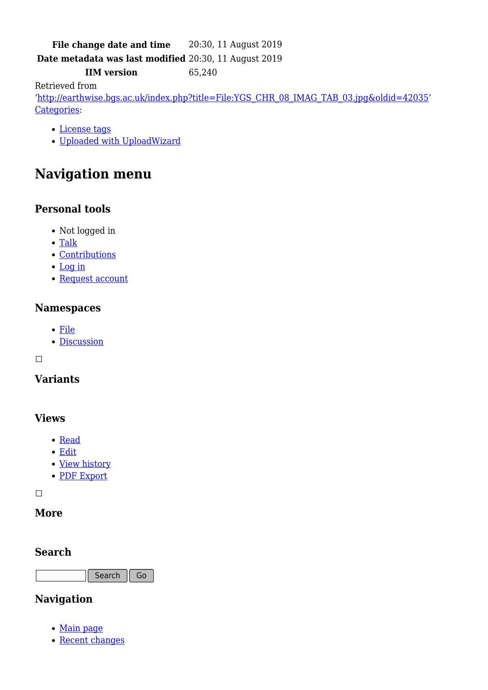### File change date and time 20:30, 11 August 2019

**Date metadata was last modified** 20:30, 11 August 2019

**IIM version** 65,240

Retrieved from

'[http://earthwise.bgs.ac.uk/index.php?title=File:YGS\\_CHR\\_08\\_IMAG\\_TAB\\_03.jpg&oldid=42035'](http://earthwise.bgs.ac.uk/index.php?title=File:YGS_CHR_08_IMAG_TAB_03.jpg&oldid=42035) [Categories:](http://earthwise.bgs.ac.uk/index.php/Special:Categories)

- [License tags](http://earthwise.bgs.ac.uk/index.php/Category:License_tags)
- [Uploaded with UploadWizard](http://earthwise.bgs.ac.uk/index.php/Category:Uploaded_with_UploadWizard)

# **Navigation menu**

### **Personal tools**

- Not logged in
- [Talk](http://earthwise.bgs.ac.uk/index.php/Special:MyTalk)
- [Contributions](http://earthwise.bgs.ac.uk/index.php/Special:MyContributions)
- [Log in](http://earthwise.bgs.ac.uk/index.php?title=Special:UserLogin&returnto=File%3AYGS+CHR+08+IMAG+TAB+03.jpg&returntoquery=action%3Dmpdf)
- [Request account](http://earthwise.bgs.ac.uk/index.php/Special:RequestAccount)

#### **Namespaces**

- [File](http://earthwise.bgs.ac.uk/index.php/File:YGS_CHR_08_IMAG_TAB_03.jpg)
- [Discussion](http://earthwise.bgs.ac.uk/index.php?title=File_talk:YGS_CHR_08_IMAG_TAB_03.jpg&action=edit&redlink=1)

 $\Box$ 

#### **Variants**

#### **Views**

- [Read](http://earthwise.bgs.ac.uk/index.php/File:YGS_CHR_08_IMAG_TAB_03.jpg)
- [Edit](http://earthwise.bgs.ac.uk/index.php?title=File:YGS_CHR_08_IMAG_TAB_03.jpg&action=edit)
- [View history](http://earthwise.bgs.ac.uk/index.php?title=File:YGS_CHR_08_IMAG_TAB_03.jpg&action=history)
- [PDF Export](http://earthwise.bgs.ac.uk/index.php?title=File:YGS_CHR_08_IMAG_TAB_03.jpg&action=mpdf)

 $\Box$ 

#### **More**

#### **Search**

Search  $\|$  Go

### **Navigation**

- [Main page](http://earthwise.bgs.ac.uk/index.php/Main_Page)
- [Recent changes](http://earthwise.bgs.ac.uk/index.php/Special:RecentChanges)